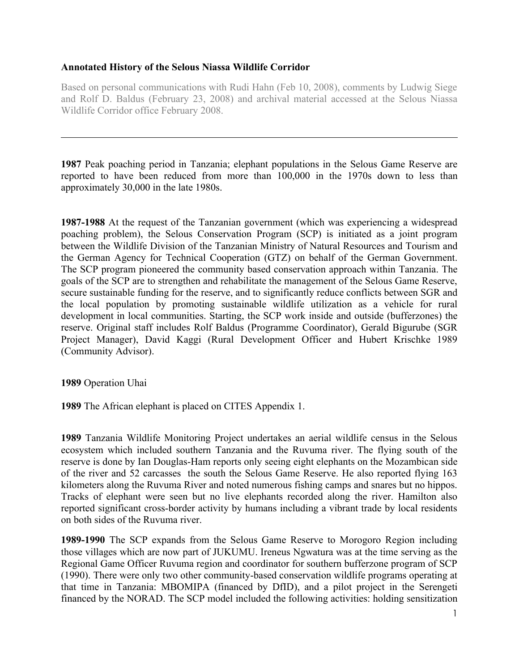## **Annotated History of the Selous Niassa Wildlife Corridor**

Based on personal communications with Rudi Hahn (Feb 10, 2008), comments by Ludwig Siege and Rolf D. Baldus (February 23, 2008) and archival material accessed at the Selous Niassa Wildlife Corridor office February 2008.

**1987** Peak poaching period in Tanzania; elephant populations in the Selous Game Reserve are reported to have been reduced from more than 100,000 in the 1970s down to less than approximately 30,000 in the late 1980s.

**1987-1988** At the request of the Tanzanian government (which was experiencing a widespread poaching problem), the Selous Conservation Program (SCP) is initiated as a joint program between the Wildlife Division of the Tanzanian Ministry of Natural Resources and Tourism and the German Agency for Technical Cooperation (GTZ) on behalf of the German Government. The SCP program pioneered the community based conservation approach within Tanzania. The goals of the SCP are to strengthen and rehabilitate the management of the Selous Game Reserve, secure sustainable funding for the reserve, and to significantly reduce conflicts between SGR and the local population by promoting sustainable wildlife utilization as a vehicle for rural development in local communities. Starting, the SCP work inside and outside (bufferzones) the reserve. Original staff includes Rolf Baldus (Programme Coordinator), Gerald Bigurube (SGR Project Manager), David Kaggi (Rural Development Officer and Hubert Krischke 1989 (Community Advisor).

**1989** Operation Uhai

**1989** The African elephant is placed on CITES Appendix 1.

**1989** Tanzania Wildlife Monitoring Project undertakes an aerial wildlife census in the Selous ecosystem which included southern Tanzania and the Ruvuma river. The flying south of the reserve is done by Ian Douglas-Ham reports only seeing eight elephants on the Mozambican side of the river and 52 carcasses the south the Selous Game Reserve. He also reported flying 163 kilometers along the Ruvuma River and noted numerous fishing camps and snares but no hippos. Tracks of elephant were seen but no live elephants recorded along the river. Hamilton also reported significant cross-border activity by humans including a vibrant trade by local residents on both sides of the Ruvuma river.

**1989-1990** The SCP expands from the Selous Game Reserve to Morogoro Region including those villages which are now part of JUKUMU. Ireneus Ngwatura was at the time serving as the Regional Game Officer Ruvuma region and coordinator for southern bufferzone program of SCP (1990). There were only two other community-based conservation wildlife programs operating at that time in Tanzania: MBOMIPA (financed by DfID), and a pilot project in the Serengeti financed by the NORAD. The SCP model included the following activities: holding sensitization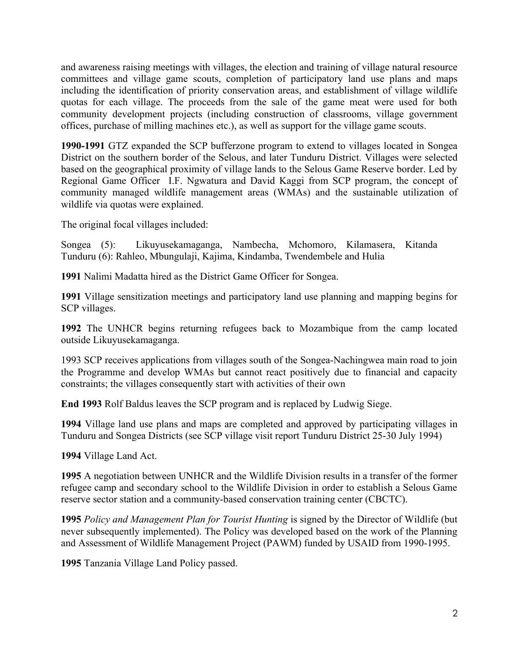and awareness raising meetings with villages, the election and training of village natural resource committees and village game scouts, completion of participatory land use plans and maps including the identification of priority conservation areas, and establishment of village wildlife quotas for each village. The proceeds from the sale of the game meat were used for both community development projects (including construction of classrooms, village government offices, purchase of milling machines etc.), as well as support for the village game scouts.

**1990-1991** GTZ expanded the SCP bufferzone program to extend to villages located in Songea District on the southern border of the Selous, and later Tunduru District. Villages were selected based on the geographical proximity of village lands to the Selous Game Reserve border. Led by Regional Game Officer I.F. Ngwatura and David Kaggi from SCP program, the concept of community managed wildlife management areas (WMAs) and the sustainable utilization of wildlife via quotas were explained.

The original focal villages included:

Songea (5): Likuyusekamaganga, Nambecha, Mchomoro, Kilamasera, Kitanda Tunduru (6): Rahleo, Mbungulaji, Kajima, Kindamba, Twendembele and Hulia

**1991** Nalimi Madatta hired as the District Game Officer for Songea.

**1991** Village sensitization meetings and participatory land use planning and mapping begins for SCP villages.

**1992** The UNHCR begins returning refugees back to Mozambique from the camp located outside Likuyusekamaganga.

1993 SCP receives applications from villages south of the Songea-Nachingwea main road to join the Programme and develop WMAs but cannot react positively due to financial and capacity constraints; the villages consequently start with activities of their own

**End 1993** Rolf Baldus leaves the SCP program and is replaced by Ludwig Siege.

**1994** Village land use plans and maps are completed and approved by participating villages in Tunduru and Songea Districts (see SCP village visit report Tunduru District 25-30 July 1994)

**1994** Village Land Act.

**1995** A negotiation between UNHCR and the Wildlife Division results in a transfer of the former refugee camp and secondary school to the Wildlife Division in order to establish a Selous Game reserve sector station and a community-based conservation training center (CBCTC).

**1995** *Policy and Management Plan for Tourist Hunting* is signed by the Director of Wildlife (but never subsequently implemented). The Policy was developed based on the work of the Planning and Assessment of Wildlife Management Project (PAWM) funded by USAID from 1990-1995.

**1995** Tanzania Village Land Policy passed.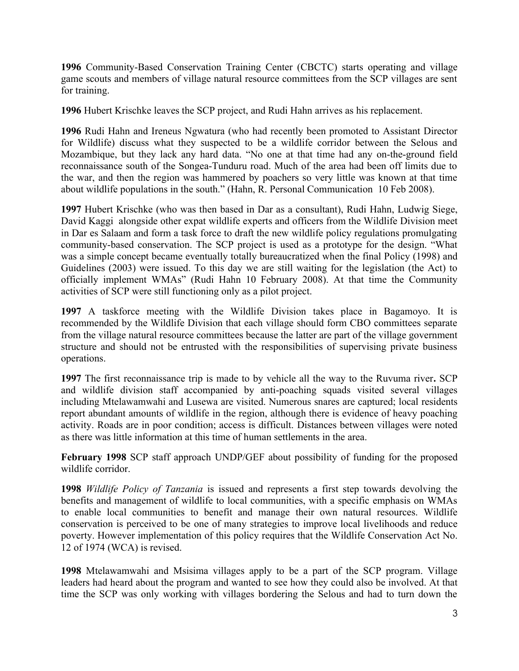**1996** Community-Based Conservation Training Center (CBCTC) starts operating and village game scouts and members of village natural resource committees from the SCP villages are sent for training.

**1996** Hubert Krischke leaves the SCP project, and Rudi Hahn arrives as his replacement.

**1996** Rudi Hahn and Ireneus Ngwatura (who had recently been promoted to Assistant Director for Wildlife) discuss what they suspected to be a wildlife corridor between the Selous and Mozambique, but they lack any hard data. "No one at that time had any on-the-ground field reconnaissance south of the Songea-Tunduru road. Much of the area had been off limits due to the war, and then the region was hammered by poachers so very little was known at that time about wildlife populations in the south." (Hahn, R. Personal Communication 10 Feb 2008).

**1997** Hubert Krischke (who was then based in Dar as a consultant), Rudi Hahn, Ludwig Siege, David Kaggi alongside other expat wildlife experts and officers from the Wildlife Division meet in Dar es Salaam and form a task force to draft the new wildlife policy regulations promulgating community-based conservation. The SCP project is used as a prototype for the design. "What was a simple concept became eventually totally bureaucratized when the final Policy (1998) and Guidelines (2003) were issued. To this day we are still waiting for the legislation (the Act) to officially implement WMAs" (Rudi Hahn 10 February 2008). At that time the Community activities of SCP were still functioning only as a pilot project.

**1997** A taskforce meeting with the Wildlife Division takes place in Bagamoyo. It is recommended by the Wildlife Division that each village should form CBO committees separate from the village natural resource committees because the latter are part of the village government structure and should not be entrusted with the responsibilities of supervising private business operations.

**1997** The first reconnaissance trip is made to by vehicle all the way to the Ruvuma river**.** SCP and wildlife division staff accompanied by anti-poaching squads visited several villages including Mtelawamwahi and Lusewa are visited. Numerous snares are captured; local residents report abundant amounts of wildlife in the region, although there is evidence of heavy poaching activity. Roads are in poor condition; access is difficult. Distances between villages were noted as there was little information at this time of human settlements in the area.

**February 1998** SCP staff approach UNDP/GEF about possibility of funding for the proposed wildlife corridor.

**1998** *Wildlife Policy of Tanzania* is issued and represents a first step towards devolving the benefits and management of wildlife to local communities, with a specific emphasis on WMAs to enable local communities to benefit and manage their own natural resources. Wildlife conservation is perceived to be one of many strategies to improve local livelihoods and reduce poverty. However implementation of this policy requires that the Wildlife Conservation Act No. 12 of 1974 (WCA) is revised.

**1998** Mtelawamwahi and Msisima villages apply to be a part of the SCP program. Village leaders had heard about the program and wanted to see how they could also be involved. At that time the SCP was only working with villages bordering the Selous and had to turn down the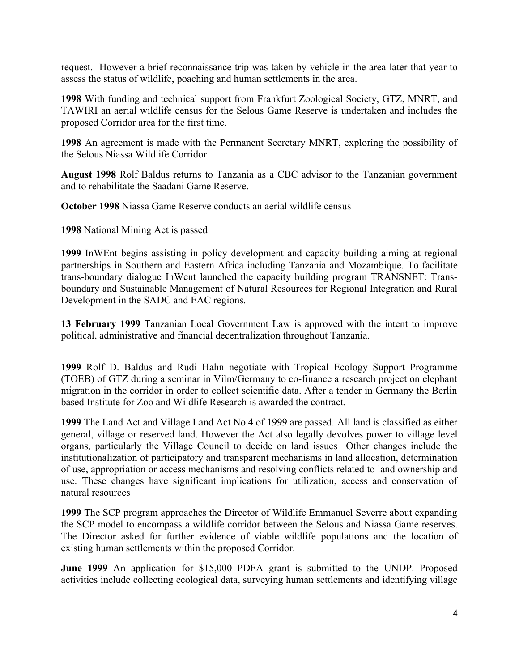request. However a brief reconnaissance trip was taken by vehicle in the area later that year to assess the status of wildlife, poaching and human settlements in the area.

**1998** With funding and technical support from Frankfurt Zoological Society, GTZ, MNRT, and TAWIRI an aerial wildlife census for the Selous Game Reserve is undertaken and includes the proposed Corridor area for the first time.

**1998** An agreement is made with the Permanent Secretary MNRT, exploring the possibility of the Selous Niassa Wildlife Corridor.

**August 1998** Rolf Baldus returns to Tanzania as a CBC advisor to the Tanzanian government and to rehabilitate the Saadani Game Reserve.

**October 1998** Niassa Game Reserve conducts an aerial wildlife census

**1998** National Mining Act is passed

**1999** InWEnt begins assisting in policy development and capacity building aiming at regional partnerships in Southern and Eastern Africa including Tanzania and Mozambique. To facilitate trans-boundary dialogue InWent launched the capacity building program TRANSNET: Transboundary and Sustainable Management of Natural Resources for Regional Integration and Rural Development in the SADC and EAC regions.

**13 February 1999** Tanzanian Local Government Law is approved with the intent to improve political, administrative and financial decentralization throughout Tanzania.

**1999** Rolf D. Baldus and Rudi Hahn negotiate with Tropical Ecology Support Programme (TOEB) of GTZ during a seminar in Vilm/Germany to co-finance a research project on elephant migration in the corridor in order to collect scientific data. After a tender in Germany the Berlin based Institute for Zoo and Wildlife Research is awarded the contract.

**1999** The Land Act and Village Land Act No 4 of 1999 are passed. All land is classified as either general, village or reserved land. However the Act also legally devolves power to village level organs, particularly the Village Council to decide on land issues Other changes include the institutionalization of participatory and transparent mechanisms in land allocation, determination of use, appropriation or access mechanisms and resolving conflicts related to land ownership and use. These changes have significant implications for utilization, access and conservation of natural resources

**1999** The SCP program approaches the Director of Wildlife Emmanuel Severre about expanding the SCP model to encompass a wildlife corridor between the Selous and Niassa Game reserves. The Director asked for further evidence of viable wildlife populations and the location of existing human settlements within the proposed Corridor.

**June 1999** An application for \$15,000 PDFA grant is submitted to the UNDP. Proposed activities include collecting ecological data, surveying human settlements and identifying village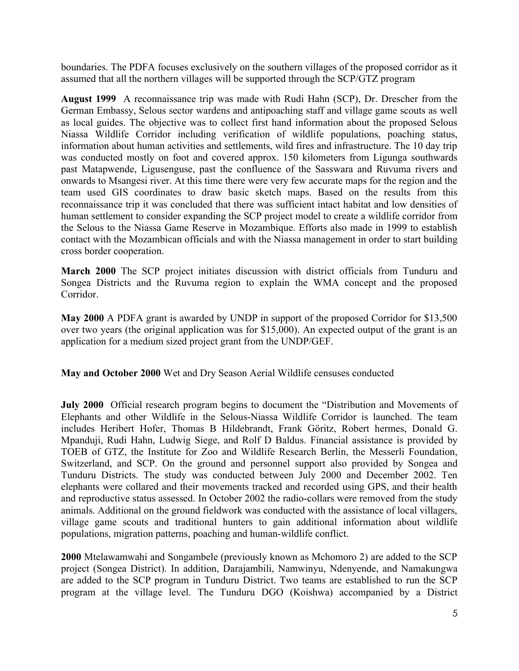boundaries. The PDFA focuses exclusively on the southern villages of the proposed corridor as it assumed that all the northern villages will be supported through the SCP/GTZ program

**August 1999** A reconnaissance trip was made with Rudi Hahn (SCP), Dr. Drescher from the German Embassy, Selous sector wardens and antipoaching staff and village game scouts as well as local guides. The objective was to collect first hand information about the proposed Selous Niassa Wildlife Corridor including verification of wildlife populations, poaching status, information about human activities and settlements, wild fires and infrastructure. The 10 day trip was conducted mostly on foot and covered approx. 150 kilometers from Ligunga southwards past Matapwende, Ligusenguse, past the confluence of the Sasswara and Ruvuma rivers and onwards to Msangesi river. At this time there were very few accurate maps for the region and the team used GIS coordinates to draw basic sketch maps. Based on the results from this reconnaissance trip it was concluded that there was sufficient intact habitat and low densities of human settlement to consider expanding the SCP project model to create a wildlife corridor from the Selous to the Niassa Game Reserve in Mozambique. Efforts also made in 1999 to establish contact with the Mozambican officials and with the Niassa management in order to start building cross border cooperation.

**March 2000** The SCP project initiates discussion with district officials from Tunduru and Songea Districts and the Ruvuma region to explain the WMA concept and the proposed Corridor.

**May 2000** A PDFA grant is awarded by UNDP in support of the proposed Corridor for \$13,500 over two years (the original application was for \$15,000). An expected output of the grant is an application for a medium sized project grant from the UNDP/GEF.

**May and October 2000** Wet and Dry Season Aerial Wildlife censuses conducted

**July 2000** Official research program begins to document the "Distribution and Movements of Elephants and other Wildlife in the Selous-Niassa Wildlife Corridor is launched. The team includes Heribert Hofer, Thomas B Hildebrandt, Frank Göritz, Robert hermes, Donald G. Mpanduji, Rudi Hahn, Ludwig Siege, and Rolf D Baldus. Financial assistance is provided by TOEB of GTZ, the Institute for Zoo and Wildlife Research Berlin, the Messerli Foundation, Switzerland, and SCP. On the ground and personnel support also provided by Songea and Tunduru Districts. The study was conducted between July 2000 and December 2002. Ten elephants were collared and their movements tracked and recorded using GPS, and their health and reproductive status assessed. In October 2002 the radio-collars were removed from the study animals. Additional on the ground fieldwork was conducted with the assistance of local villagers, village game scouts and traditional hunters to gain additional information about wildlife populations, migration patterns, poaching and human-wildlife conflict.

**2000** Mtelawamwahi and Songambele (previously known as Mchomoro 2) are added to the SCP project (Songea District). In addition, Darajambili, Namwinyu, Ndenyende, and Namakungwa are added to the SCP program in Tunduru District. Two teams are established to run the SCP program at the village level. The Tunduru DGO (Koishwa) accompanied by a District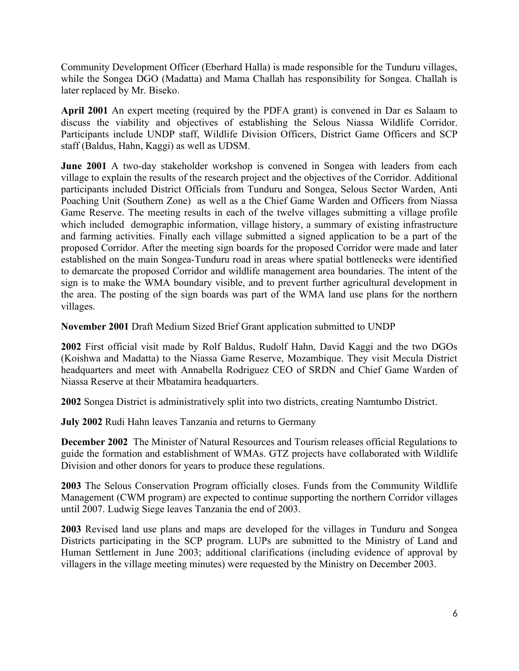Community Development Officer (Eberhard Halla) is made responsible for the Tunduru villages, while the Songea DGO (Madatta) and Mama Challah has responsibility for Songea. Challah is later replaced by Mr. Biseko.

**April 2001** An expert meeting (required by the PDFA grant) is convened in Dar es Salaam to discuss the viability and objectives of establishing the Selous Niassa Wildlife Corridor. Participants include UNDP staff, Wildlife Division Officers, District Game Officers and SCP staff (Baldus, Hahn, Kaggi) as well as UDSM.

**June 2001** A two-day stakeholder workshop is convened in Songea with leaders from each village to explain the results of the research project and the objectives of the Corridor. Additional participants included District Officials from Tunduru and Songea, Selous Sector Warden, Anti Poaching Unit (Southern Zone) as well as a the Chief Game Warden and Officers from Niassa Game Reserve. The meeting results in each of the twelve villages submitting a village profile which included demographic information, village history, a summary of existing infrastructure and farming activities. Finally each village submitted a signed application to be a part of the proposed Corridor. After the meeting sign boards for the proposed Corridor were made and later established on the main Songea-Tunduru road in areas where spatial bottlenecks were identified to demarcate the proposed Corridor and wildlife management area boundaries. The intent of the sign is to make the WMA boundary visible, and to prevent further agricultural development in the area. The posting of the sign boards was part of the WMA land use plans for the northern villages.

**November 2001** Draft Medium Sized Brief Grant application submitted to UNDP

**2002** First official visit made by Rolf Baldus, Rudolf Hahn, David Kaggi and the two DGOs (Koishwa and Madatta) to the Niassa Game Reserve, Mozambique. They visit Mecula District headquarters and meet with Annabella Rodriguez CEO of SRDN and Chief Game Warden of Niassa Reserve at their Mbatamira headquarters.

**2002** Songea District is administratively split into two districts, creating Namtumbo District.

**July 2002** Rudi Hahn leaves Tanzania and returns to Germany

**December 2002** The Minister of Natural Resources and Tourism releases official Regulations to guide the formation and establishment of WMAs. GTZ projects have collaborated with Wildlife Division and other donors for years to produce these regulations.

**2003** The Selous Conservation Program officially closes. Funds from the Community Wildlife Management (CWM program) are expected to continue supporting the northern Corridor villages until 2007. Ludwig Siege leaves Tanzania the end of 2003.

**2003** Revised land use plans and maps are developed for the villages in Tunduru and Songea Districts participating in the SCP program. LUPs are submitted to the Ministry of Land and Human Settlement in June 2003; additional clarifications (including evidence of approval by villagers in the village meeting minutes) were requested by the Ministry on December 2003.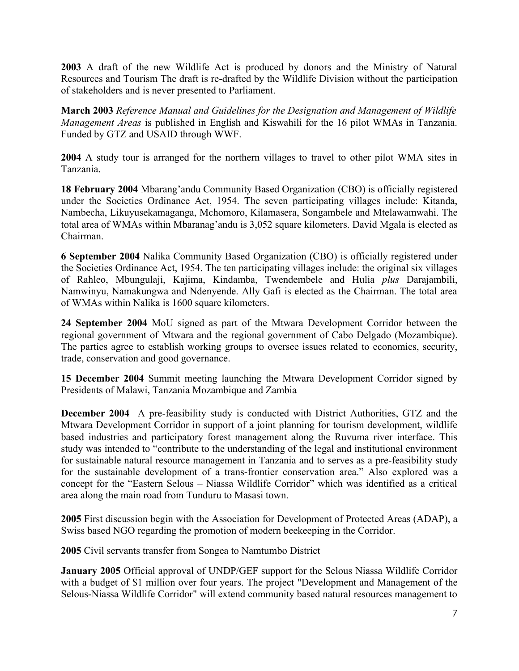**2003** A draft of the new Wildlife Act is produced by donors and the Ministry of Natural Resources and Tourism The draft is re-drafted by the Wildlife Division without the participation of stakeholders and is never presented to Parliament.

**March 2003** *Reference Manual and Guidelines for the Designation and Management of Wildlife Management Areas* is published in English and Kiswahili for the 16 pilot WMAs in Tanzania. Funded by GTZ and USAID through WWF.

**2004** A study tour is arranged for the northern villages to travel to other pilot WMA sites in Tanzania.

**18 February 2004** Mbarang'andu Community Based Organization (CBO) is officially registered under the Societies Ordinance Act, 1954. The seven participating villages include: Kitanda, Nambecha, Likuyusekamaganga, Mchomoro, Kilamasera, Songambele and Mtelawamwahi. The total area of WMAs within Mbaranag'andu is 3,052 square kilometers. David Mgala is elected as Chairman.

**6 September 2004** Nalika Community Based Organization (CBO) is officially registered under the Societies Ordinance Act, 1954. The ten participating villages include: the original six villages of Rahleo, Mbungulaji, Kajima, Kindamba, Twendembele and Hulia *plus* Darajambili, Namwinyu, Namakungwa and Ndenyende. Ally Gafi is elected as the Chairman. The total area of WMAs within Nalika is 1600 square kilometers.

**24 September 2004** MoU signed as part of the Mtwara Development Corridor between the regional government of Mtwara and the regional government of Cabo Delgado (Mozambique). The parties agree to establish working groups to oversee issues related to economics, security, trade, conservation and good governance.

**15 December 2004** Summit meeting launching the Mtwara Development Corridor signed by Presidents of Malawi, Tanzania Mozambique and Zambia

**December 2004** A pre-feasibility study is conducted with District Authorities, GTZ and the Mtwara Development Corridor in support of a joint planning for tourism development, wildlife based industries and participatory forest management along the Ruvuma river interface. This study was intended to "contribute to the understanding of the legal and institutional environment for sustainable natural resource management in Tanzania and to serves as a pre-feasibility study for the sustainable development of a trans-frontier conservation area." Also explored was a concept for the "Eastern Selous – Niassa Wildlife Corridor" which was identified as a critical area along the main road from Tunduru to Masasi town.

**2005** First discussion begin with the Association for Development of Protected Areas (ADAP), a Swiss based NGO regarding the promotion of modern beekeeping in the Corridor.

**2005** Civil servants transfer from Songea to Namtumbo District

**January 2005** Official approval of UNDP/GEF support for the Selous Niassa Wildlife Corridor with a budget of \$1 million over four years. The project "Development and Management of the Selous-Niassa Wildlife Corridor" will extend community based natural resources management to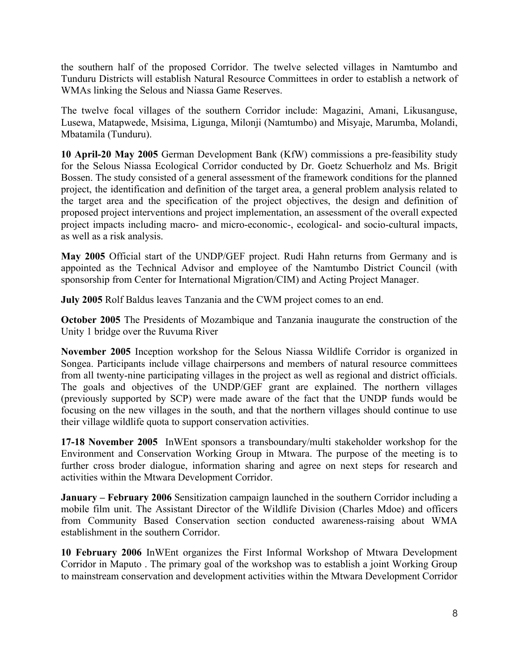the southern half of the proposed Corridor. The twelve selected villages in Namtumbo and Tunduru Districts will establish Natural Resource Committees in order to establish a network of WMAs linking the Selous and Niassa Game Reserves.

The twelve focal villages of the southern Corridor include: Magazini, Amani, Likusanguse, Lusewa, Matapwede, Msisima, Ligunga, Milonji (Namtumbo) and Misyaje, Marumba, Molandi, Mbatamila (Tunduru).

**10 April-20 May 2005** German Development Bank (KfW) commissions a pre-feasibility study for the Selous Niassa Ecological Corridor conducted by Dr. Goetz Schuerholz and Ms. Brigit Bossen. The study consisted of a general assessment of the framework conditions for the planned project, the identification and definition of the target area, a general problem analysis related to the target area and the specification of the project objectives, the design and definition of proposed project interventions and project implementation, an assessment of the overall expected project impacts including macro- and micro-economic-, ecological- and socio-cultural impacts, as well as a risk analysis.

**May 2005** Official start of the UNDP/GEF project. Rudi Hahn returns from Germany and is appointed as the Technical Advisor and employee of the Namtumbo District Council (with sponsorship from Center for International Migration/CIM) and Acting Project Manager.

**July 2005** Rolf Baldus leaves Tanzania and the CWM project comes to an end.

**October 2005** The Presidents of Mozambique and Tanzania inaugurate the construction of the Unity 1 bridge over the Ruvuma River

**November 2005** Inception workshop for the Selous Niassa Wildlife Corridor is organized in Songea. Participants include village chairpersons and members of natural resource committees from all twenty-nine participating villages in the project as well as regional and district officials. The goals and objectives of the UNDP/GEF grant are explained. The northern villages (previously supported by SCP) were made aware of the fact that the UNDP funds would be focusing on the new villages in the south, and that the northern villages should continue to use their village wildlife quota to support conservation activities.

**17-18 November 2005** InWEnt sponsors a transboundary/multi stakeholder workshop for the Environment and Conservation Working Group in Mtwara. The purpose of the meeting is to further cross broder dialogue, information sharing and agree on next steps for research and activities within the Mtwara Development Corridor.

**January – February 2006** Sensitization campaign launched in the southern Corridor including a mobile film unit. The Assistant Director of the Wildlife Division (Charles Mdoe) and officers from Community Based Conservation section conducted awareness-raising about WMA establishment in the southern Corridor.

**10 February 2006** InWEnt organizes the First Informal Workshop of Mtwara Development Corridor in Maputo . The primary goal of the workshop was to establish a joint Working Group to mainstream conservation and development activities within the Mtwara Development Corridor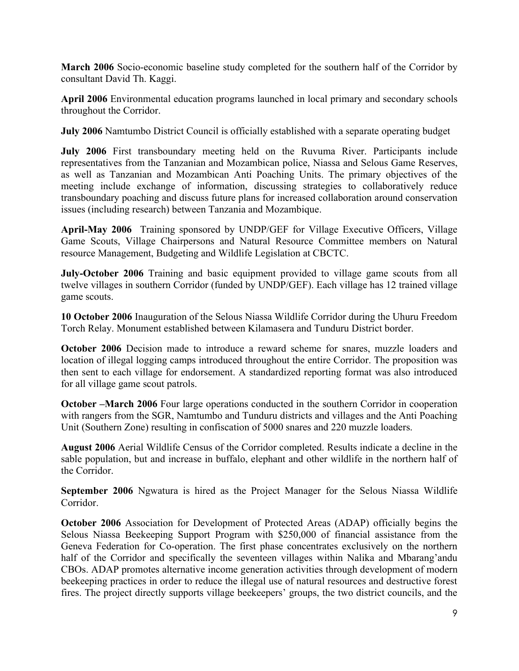**March 2006** Socio-economic baseline study completed for the southern half of the Corridor by consultant David Th. Kaggi.

**April 2006** Environmental education programs launched in local primary and secondary schools throughout the Corridor.

**July 2006** Namtumbo District Council is officially established with a separate operating budget

**July 2006** First transboundary meeting held on the Ruvuma River. Participants include representatives from the Tanzanian and Mozambican police, Niassa and Selous Game Reserves, as well as Tanzanian and Mozambican Anti Poaching Units. The primary objectives of the meeting include exchange of information, discussing strategies to collaboratively reduce transboundary poaching and discuss future plans for increased collaboration around conservation issues (including research) between Tanzania and Mozambique.

**April-May 2006** Training sponsored by UNDP/GEF for Village Executive Officers, Village Game Scouts, Village Chairpersons and Natural Resource Committee members on Natural resource Management, Budgeting and Wildlife Legislation at CBCTC.

**July-October 2006** Training and basic equipment provided to village game scouts from all twelve villages in southern Corridor (funded by UNDP/GEF). Each village has 12 trained village game scouts.

**10 October 2006** Inauguration of the Selous Niassa Wildlife Corridor during the Uhuru Freedom Torch Relay. Monument established between Kilamasera and Tunduru District border.

**October 2006** Decision made to introduce a reward scheme for snares, muzzle loaders and location of illegal logging camps introduced throughout the entire Corridor. The proposition was then sent to each village for endorsement. A standardized reporting format was also introduced for all village game scout patrols.

**October –March 2006** Four large operations conducted in the southern Corridor in cooperation with rangers from the SGR, Namtumbo and Tunduru districts and villages and the Anti Poaching Unit (Southern Zone) resulting in confiscation of 5000 snares and 220 muzzle loaders.

**August 2006** Aerial Wildlife Census of the Corridor completed. Results indicate a decline in the sable population, but and increase in buffalo, elephant and other wildlife in the northern half of the Corridor.

**September 2006** Ngwatura is hired as the Project Manager for the Selous Niassa Wildlife Corridor.

**October 2006** Association for Development of Protected Areas (ADAP) officially begins the Selous Niassa Beekeeping Support Program with \$250,000 of financial assistance from the Geneva Federation for Co-operation. The first phase concentrates exclusively on the northern half of the Corridor and specifically the seventeen villages within Nalika and Mbarang'andu CBOs. ADAP promotes alternative income generation activities through development of modern beekeeping practices in order to reduce the illegal use of natural resources and destructive forest fires. The project directly supports village beekeepers' groups, the two district councils, and the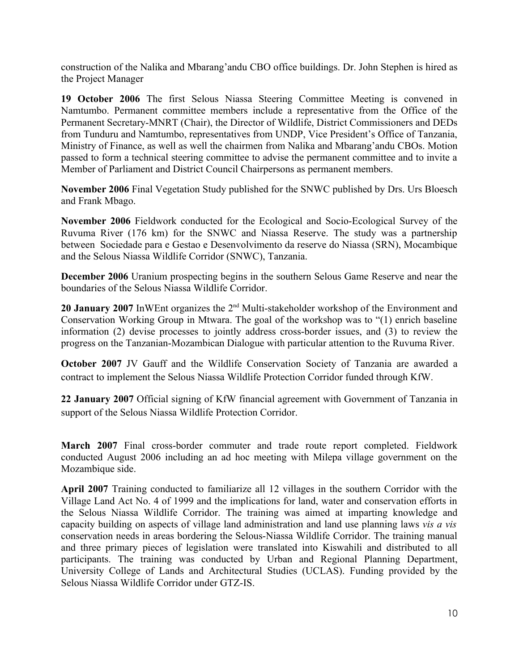construction of the Nalika and Mbarang'andu CBO office buildings. Dr. John Stephen is hired as the Project Manager

**19 October 2006** The first Selous Niassa Steering Committee Meeting is convened in Namtumbo. Permanent committee members include a representative from the Office of the Permanent Secretary-MNRT (Chair), the Director of Wildlife, District Commissioners and DEDs from Tunduru and Namtumbo, representatives from UNDP, Vice President's Office of Tanzania, Ministry of Finance, as well as well the chairmen from Nalika and Mbarang'andu CBOs. Motion passed to form a technical steering committee to advise the permanent committee and to invite a Member of Parliament and District Council Chairpersons as permanent members.

**November 2006** Final Vegetation Study published for the SNWC published by Drs. Urs Bloesch and Frank Mbago.

**November 2006** Fieldwork conducted for the Ecological and Socio-Ecological Survey of the Ruvuma River (176 km) for the SNWC and Niassa Reserve. The study was a partnership between Sociedade para e Gestao e Desenvolvimento da reserve do Niassa (SRN), Mocambique and the Selous Niassa Wildlife Corridor (SNWC), Tanzania.

**December 2006** Uranium prospecting begins in the southern Selous Game Reserve and near the boundaries of the Selous Niassa Wildlife Corridor.

**20 January 2007** InWEnt organizes the 2<sup>nd</sup> Multi-stakeholder workshop of the Environment and Conservation Working Group in Mtwara. The goal of the workshop was to "(1) enrich baseline information (2) devise processes to jointly address cross-border issues, and (3) to review the progress on the Tanzanian-Mozambican Dialogue with particular attention to the Ruvuma River.

**October 2007** JV Gauff and the Wildlife Conservation Society of Tanzania are awarded a contract to implement the Selous Niassa Wildlife Protection Corridor funded through KfW.

**22 January 2007** Official signing of KfW financial agreement with Government of Tanzania in support of the Selous Niassa Wildlife Protection Corridor.

**March 2007** Final cross-border commuter and trade route report completed. Fieldwork conducted August 2006 including an ad hoc meeting with Milepa village government on the Mozambique side.

**April 2007** Training conducted to familiarize all 12 villages in the southern Corridor with the Village Land Act No. 4 of 1999 and the implications for land, water and conservation efforts in the Selous Niassa Wildlife Corridor. The training was aimed at imparting knowledge and capacity building on aspects of village land administration and land use planning laws *vis a vis* conservation needs in areas bordering the Selous-Niassa Wildlife Corridor. The training manual and three primary pieces of legislation were translated into Kiswahili and distributed to all participants. The training was conducted by Urban and Regional Planning Department, University College of Lands and Architectural Studies (UCLAS). Funding provided by the Selous Niassa Wildlife Corridor under GTZ-IS.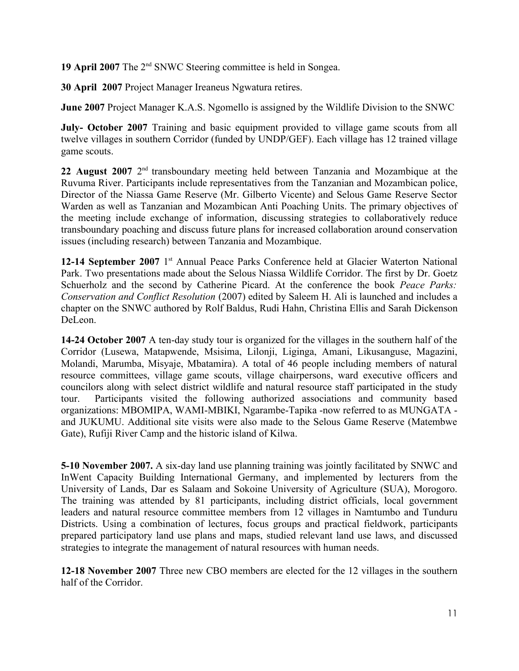19 April 2007 The 2<sup>nd</sup> SNWC Steering committee is held in Songea.

**30 April 2007** Project Manager Ireaneus Ngwatura retires.

**June 2007** Project Manager K.A.S. Ngomello is assigned by the Wildlife Division to the SNWC

**July- October 2007** Training and basic equipment provided to village game scouts from all twelve villages in southern Corridor (funded by UNDP/GEF). Each village has 12 trained village game scouts.

22 August 2007 2<sup>nd</sup> transboundary meeting held between Tanzania and Mozambique at the Ruvuma River. Participants include representatives from the Tanzanian and Mozambican police, Director of the Niassa Game Reserve (Mr. Gilberto Vicente) and Selous Game Reserve Sector Warden as well as Tanzanian and Mozambican Anti Poaching Units. The primary objectives of the meeting include exchange of information, discussing strategies to collaboratively reduce transboundary poaching and discuss future plans for increased collaboration around conservation issues (including research) between Tanzania and Mozambique.

12-14 September 2007 1<sup>st</sup> Annual Peace Parks Conference held at Glacier Waterton National Park. Two presentations made about the Selous Niassa Wildlife Corridor. The first by Dr. Goetz Schuerholz and the second by Catherine Picard. At the conference the book *Peace Parks: Conservation and Conflict Resolution* (2007) edited by Saleem H. Ali is launched and includes a chapter on the SNWC authored by Rolf Baldus, Rudi Hahn, Christina Ellis and Sarah Dickenson DeLeon.

**14-24 October 2007** A ten-day study tour is organized for the villages in the southern half of the Corridor (Lusewa, Matapwende, Msisima, Lilonji, Liginga, Amani, Likusanguse, Magazini, Molandi, Marumba, Misyaje, Mbatamira). A total of 46 people including members of natural resource committees, village game scouts, village chairpersons, ward executive officers and councilors along with select district wildlife and natural resource staff participated in the study tour. Participants visited the following authorized associations and community based organizations: MBOMIPA, WAMI-MBIKI, Ngarambe-Tapika -now referred to as MUNGATA and JUKUMU. Additional site visits were also made to the Selous Game Reserve (Matembwe Gate), Rufiji River Camp and the historic island of Kilwa.

**5-10 November 2007.** A six-day land use planning training was jointly facilitated by SNWC and InWent Capacity Building International Germany, and implemented by lecturers from the University of Lands, Dar es Salaam and Sokoine University of Agriculture (SUA), Morogoro. The training was attended by 81 participants, including district officials, local government leaders and natural resource committee members from 12 villages in Namtumbo and Tunduru Districts. Using a combination of lectures, focus groups and practical fieldwork, participants prepared participatory land use plans and maps, studied relevant land use laws, and discussed strategies to integrate the management of natural resources with human needs.

**12-18 November 2007** Three new CBO members are elected for the 12 villages in the southern half of the Corridor.